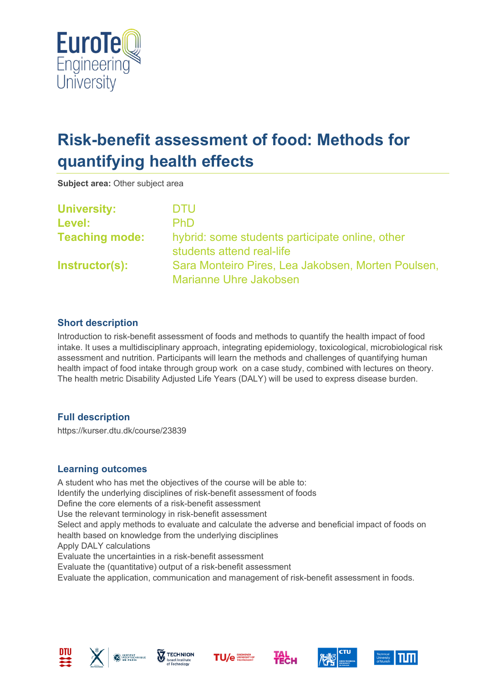

# **Risk-benefit assessment of food: Methods for quantifying health effects**

**Subject area:** Other subject area

| <b>University:</b>    | <b>DTU</b>                                                                          |
|-----------------------|-------------------------------------------------------------------------------------|
| Level:                | <b>PhD</b>                                                                          |
| <b>Teaching mode:</b> | hybrid: some students participate online, other<br>students attend real-life        |
| Instructor(s):        | Sara Monteiro Pires, Lea Jakobsen, Morten Poulsen,<br><b>Marianne Uhre Jakobsen</b> |

## **Short description**

Introduction to risk-benefit assessment of foods and methods to quantify the health impact of food intake. It uses a multidisciplinary approach, integrating epidemiology, toxicological, microbiological risk assessment and nutrition. Participants will learn the methods and challenges of quantifying human health impact of food intake through group work on a case study, combined with lectures on theory. The health metric Disability Adjusted Life Years (DALY) will be used to express disease burden.

## **Full description**

https://kurser.dtu.dk/course/23839

## **Learning outcomes**

A student who has met the objectives of the course will be able to: Identify the underlying disciplines of risk-benefit assessment of foods Define the core elements of a risk-benefit assessment Use the relevant terminology in risk-benefit assessment Select and apply methods to evaluate and calculate the adverse and beneficial impact of foods on health based on knowledge from the underlying disciplines Apply DALY calculations Evaluate the uncertainties in a risk-benefit assessment Evaluate the (quantitative) output of a risk-benefit assessment Evaluate the application, communication and management of risk-benefit assessment in foods.













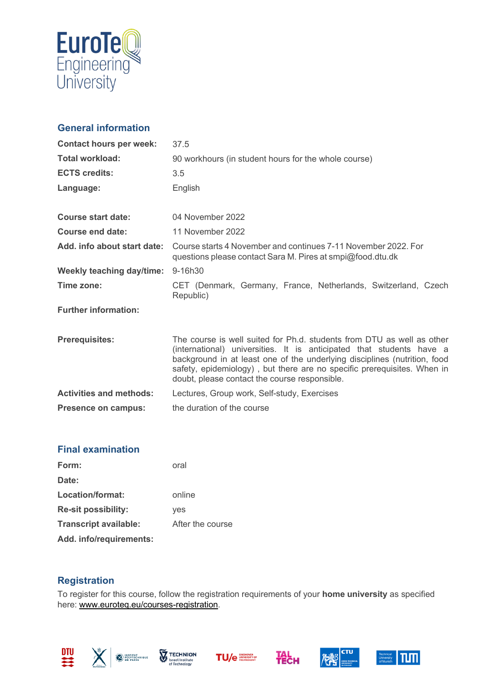

## **General information**

| <b>Contact hours per week:</b> | 37.5                                                                                                                                                                                                                                                                                                                                                    |
|--------------------------------|---------------------------------------------------------------------------------------------------------------------------------------------------------------------------------------------------------------------------------------------------------------------------------------------------------------------------------------------------------|
| <b>Total workload:</b>         | 90 workhours (in student hours for the whole course)                                                                                                                                                                                                                                                                                                    |
| <b>ECTS credits:</b>           | 3.5                                                                                                                                                                                                                                                                                                                                                     |
| Language:                      | English                                                                                                                                                                                                                                                                                                                                                 |
|                                |                                                                                                                                                                                                                                                                                                                                                         |
| <b>Course start date:</b>      | 04 November 2022                                                                                                                                                                                                                                                                                                                                        |
| Course end date:               | 11 November 2022                                                                                                                                                                                                                                                                                                                                        |
| Add. info about start date:    | Course starts 4 November and continues 7-11 November 2022. For<br>questions please contact Sara M. Pires at smpi@food.dtu.dk                                                                                                                                                                                                                            |
| Weekly teaching day/time:      | 9-16h30                                                                                                                                                                                                                                                                                                                                                 |
| Time zone:                     | CET (Denmark, Germany, France, Netherlands, Switzerland, Czech<br>Republic)                                                                                                                                                                                                                                                                             |
| <b>Further information:</b>    |                                                                                                                                                                                                                                                                                                                                                         |
|                                |                                                                                                                                                                                                                                                                                                                                                         |
| <b>Prerequisites:</b>          | The course is well suited for Ph.d. students from DTU as well as other<br>(international) universities. It is anticipated that students have a<br>background in at least one of the underlying disciplines (nutrition, food<br>safety, epidemiology), but there are no specific prerequisites. When in<br>doubt, please contact the course responsible. |
| <b>Activities and methods:</b> | Lectures, Group work, Self-study, Exercises                                                                                                                                                                                                                                                                                                             |
| Presence on campus:            | the duration of the course                                                                                                                                                                                                                                                                                                                              |

## **Final examination**

| Form:                        | oral             |
|------------------------------|------------------|
| Date:                        |                  |
| Location/format:             | online           |
| <b>Re-sit possibility:</b>   | yes              |
| <b>Transcript available:</b> | After the course |
| Add. info/requirements:      |                  |

## **Registration**

To register for this course, follow the registration requirements of your **home university** as specified here: [www.euroteq.eu/courses-registration.](http://www.euroteq.eu/courses-registration)